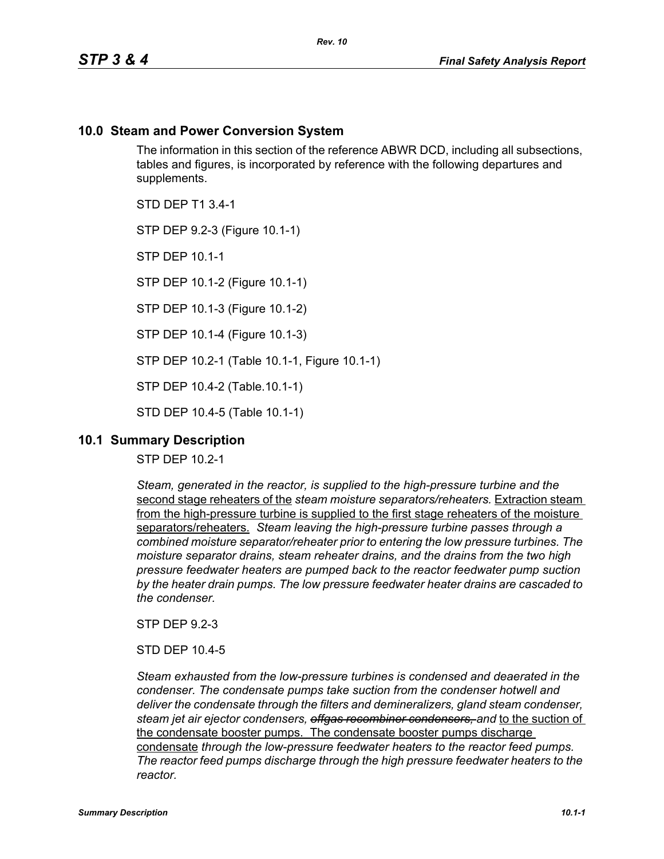# **10.0 Steam and Power Conversion System**

The information in this section of the reference ABWR DCD, including all subsections, tables and figures, is incorporated by reference with the following departures and supplements.

STD DEP T1 3.4-1

STP DEP 9.2-3 (Figure 10.1-1)

STP DEP 10.1-1

STP DEP 10.1-2 (Figure 10.1-1)

STP DEP 10.1-3 (Figure 10.1-2)

STP DEP 10.1-4 (Figure 10.1-3)

STP DEP 10.2-1 (Table 10.1-1, Figure 10.1-1)

STP DEP 10.4-2 (Table.10.1-1)

STD DEP 10.4-5 (Table 10.1-1)

## **10.1 Summary Description**

STP DEP 10.2-1

*Steam, generated in the reactor, is supplied to the high-pressure turbine and the*  second stage reheaters of the *steam moisture separators/reheaters.* Extraction steam from the high-pressure turbine is supplied to the first stage reheaters of the moisture separators/reheaters. *Steam leaving the high-pressure turbine passes through a combined moisture separator/reheater prior to entering the low pressure turbines. The moisture separator drains, steam reheater drains, and the drains from the two high pressure feedwater heaters are pumped back to the reactor feedwater pump suction by the heater drain pumps. The low pressure feedwater heater drains are cascaded to the condenser.*

STP DEP 9.2-3

STD DEP 10.4-5

*Steam exhausted from the low-pressure turbines is condensed and deaerated in the condenser. The condensate pumps take suction from the condenser hotwell and deliver the condensate through the filters and demineralizers, gland steam condenser, steam jet air ejector condensers, offgas recombiner condensers, and* to the suction of the condensate booster pumps. The condensate booster pumps discharge condensate *through the low-pressure feedwater heaters to the reactor feed pumps. The reactor feed pumps discharge through the high pressure feedwater heaters to the reactor.*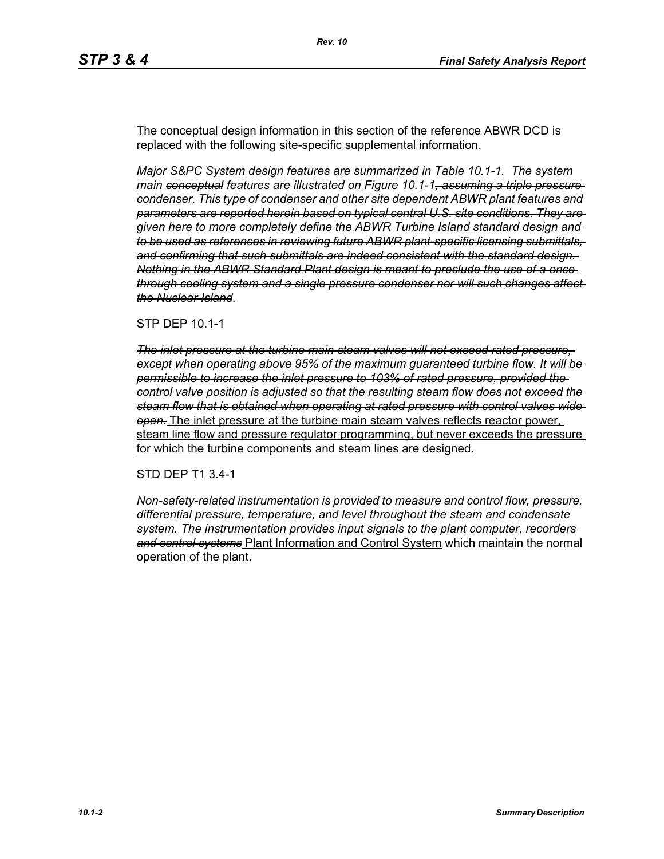The conceptual design information in this section of the reference ABWR DCD is replaced with the following site-specific supplemental information.

*Major S&PC System design features are summarized in Table 10.1-1. The system main conceptual features are illustrated on Figure 10.1-1, assuming a triple pressure condenser. This type of condenser and other site dependent ABWR plant features and parameters are reported herein based on typical central U.S. site conditions. They are given here to more completely define the ABWR Turbine Island standard design and to be used as references in reviewing future ABWR plant-specific licensing submittals, and confirming that such submittals are indeed consistent with the standard design. Nothing in the ABWR Standard Plant design is meant to preclude the use of a once through cooling system and a single pressure condenser nor will such changes affect the Nuclear Island.*

#### STP DEP 10.1-1

*The inlet pressure at the turbine main steam valves will not exceed rated pressure, except when operating above 95% of the maximum guaranteed turbine flow. It will be permissible to increase the inlet pressure to 103% of rated pressure, provided the control valve position is adjusted so that the resulting steam flow does not exceed the steam flow that is obtained when operating at rated pressure with control valves wide open.* The inlet pressure at the turbine main steam valves reflects reactor power, steam line flow and pressure regulator programming, but never exceeds the pressure for which the turbine components and steam lines are designed.

#### STD DEP T1 3.4-1

*Non-safety-related instrumentation is provided to measure and control flow, pressure, differential pressure, temperature, and level throughout the steam and condensate system. The instrumentation provides input signals to the plant computer, recorders and control systems* Plant Information and Control System which maintain the normal operation of the plant.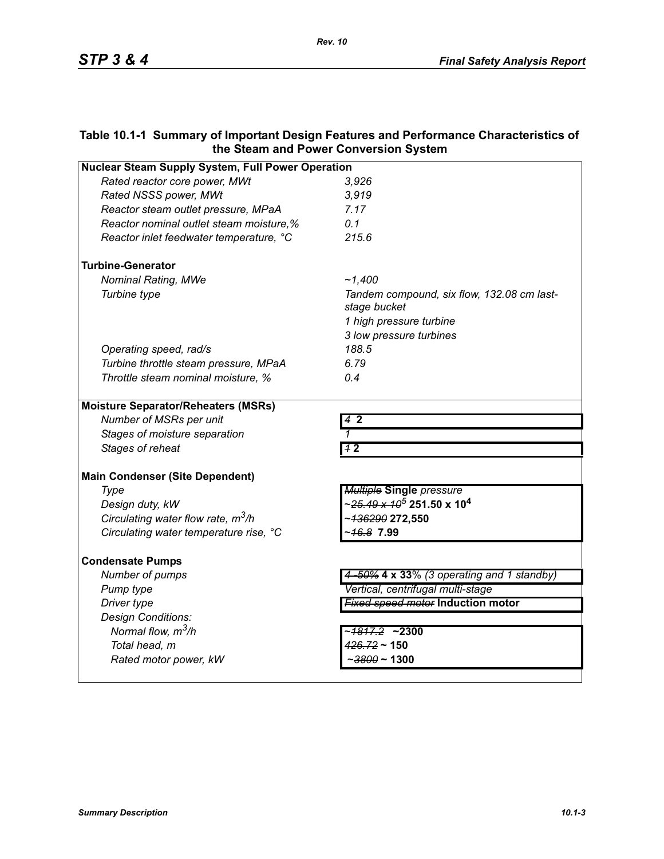# **Table 10.1-1 Summary of Important Design Features and Performance Characteristics of the Steam and Power Conversion System**

| <b>Nuclear Steam Supply System, Full Power Operation</b> |                                                              |  |
|----------------------------------------------------------|--------------------------------------------------------------|--|
| Rated reactor core power, MWt                            | 3,926                                                        |  |
| Rated NSSS power, MWt                                    | 3.919                                                        |  |
| Reactor steam outlet pressure, MPaA                      | 7.17                                                         |  |
| Reactor nominal outlet steam moisture,%                  | 0.1                                                          |  |
| Reactor inlet feedwater temperature, °C                  | 215.6                                                        |  |
| <b>Turbine-Generator</b>                                 |                                                              |  |
| <b>Nominal Rating, MWe</b>                               | ~1.400                                                       |  |
| Turbine type                                             | Tandem compound, six flow, 132.08 cm last-<br>stage bucket   |  |
|                                                          | 1 high pressure turbine                                      |  |
|                                                          | 3 low pressure turbines                                      |  |
| Operating speed, rad/s                                   | 188.5                                                        |  |
| Turbine throttle steam pressure, MPaA                    | 6.79                                                         |  |
| Throttle steam nominal moisture, %                       | 0.4                                                          |  |
| <b>Moisture Separator/Reheaters (MSRs)</b>               |                                                              |  |
| Number of MSRs per unit                                  | 42                                                           |  |
| Stages of moisture separation                            |                                                              |  |
| Stages of reheat                                         | 12                                                           |  |
| <b>Main Condenser (Site Dependent)</b>                   |                                                              |  |
| Type                                                     | <b>Multiple Single</b> pressure                              |  |
| Design duty, kW                                          | ∼ <del>25.49 x 10<sup>5</sup></del> 251.50 x 10 <sup>4</sup> |  |
| Circulating water flow rate, $m^3/h$                     | ~ <del>136290</del> 272,550                                  |  |
| Circulating water temperature rise, °C                   | - <del>16.8</del> 7.99                                       |  |
| <b>Condensate Pumps</b>                                  |                                                              |  |
| Number of pumps                                          | 4-50% 4 x 33% (3 operating and 1 standby)                    |  |
| Pump type                                                | Vertical, centrifugal multi-stage                            |  |
| Driver type                                              | <b>Fixed speed motor Induction motor</b>                     |  |
| Design Conditions:                                       |                                                              |  |
| Normal flow, $m^3/h$                                     | ~ <del>1817.2</del> ~2300                                    |  |
| Total head, m                                            | $426.72 \sim 150$                                            |  |
| Rated motor power, kW                                    | $\sim$ 3800 ~ 1300                                           |  |
|                                                          |                                                              |  |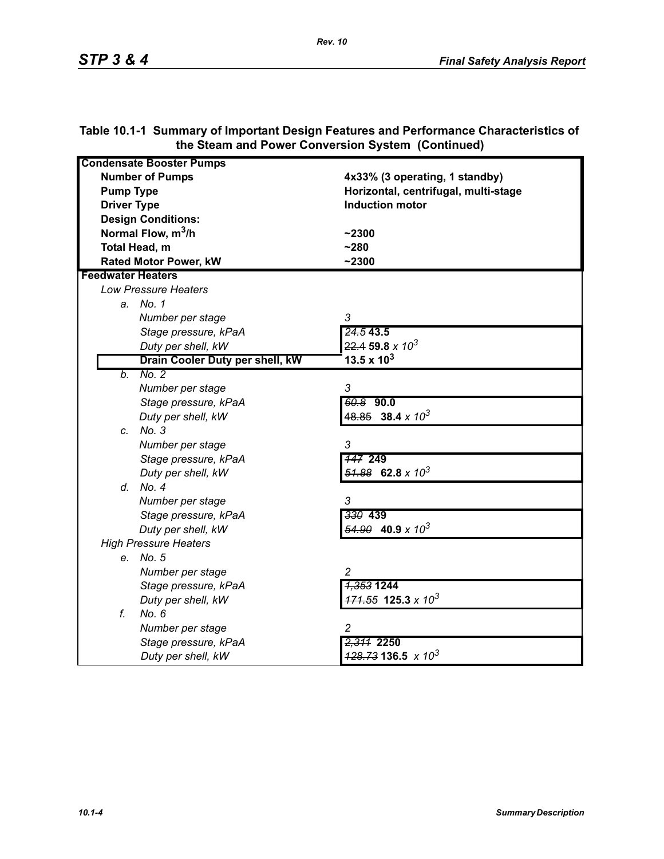| <b>Condensate Booster Pumps</b> |                                          |
|---------------------------------|------------------------------------------|
| <b>Number of Pumps</b>          | 4x33% (3 operating, 1 standby)           |
| <b>Pump Type</b>                | Horizontal, centrifugal, multi-stage     |
| <b>Driver Type</b>              | <b>Induction motor</b>                   |
| <b>Design Conditions:</b>       |                                          |
| Normal Flow, m <sup>3</sup> /h  | $-2300$                                  |
| Total Head, m                   | $-280$                                   |
| <b>Rated Motor Power, kW</b>    | $-2300$                                  |
| <b>Feedwater Heaters</b>        |                                          |
| <b>Low Pressure Heaters</b>     |                                          |
| a. No. 1                        |                                          |
| Number per stage                | 3                                        |
| Stage pressure, kPaA            | 24.543.5                                 |
| Duty per shell, kW              | $22.4$ 59.8 x $10^3$                     |
| Drain Cooler Duty per shell, kW | 13.5 x $10^3$                            |
| No. 2<br>b.                     |                                          |
| Number per stage                | 3                                        |
| Stage pressure, kPaA            | 60.8 90.0                                |
| Duty per shell, kW              | $48.85$ 38.4 x 10 <sup>3</sup>           |
| c. No. 3                        |                                          |
| Number per stage                | 3                                        |
| Stage pressure, kPaA            | <b>147 249</b>                           |
| Duty per shell, kW              | $\frac{51.88}{2}$ 62.8 x 10 <sup>3</sup> |
| d. No. 4                        |                                          |
| Number per stage                | 3                                        |
| Stage pressure, kPaA            | 330 439                                  |
| Duty per shell, kW              | $\frac{54.90}{2}$ 40.9 x 10 <sup>3</sup> |
| <b>High Pressure Heaters</b>    |                                          |
| e. No. 5                        |                                          |
| Number per stage                | $\overline{c}$                           |
| Stage pressure, kPaA            | <del>1,353</del> 1244                    |
| Duty per shell, kW              | $171.55$ 125.3 x 10 <sup>3</sup>         |
| f.<br>No. 6                     |                                          |
| Number per stage                | 2                                        |
| Stage pressure, kPaA            | 2,311 2250                               |
| Duty per shell, kW              | $\frac{428.73}{136.5}$ x 10 <sup>3</sup> |

## **Table 10.1-1 Summary of Important Design Features and Performance Characteristics of the Steam and Power Conversion System (Continued)**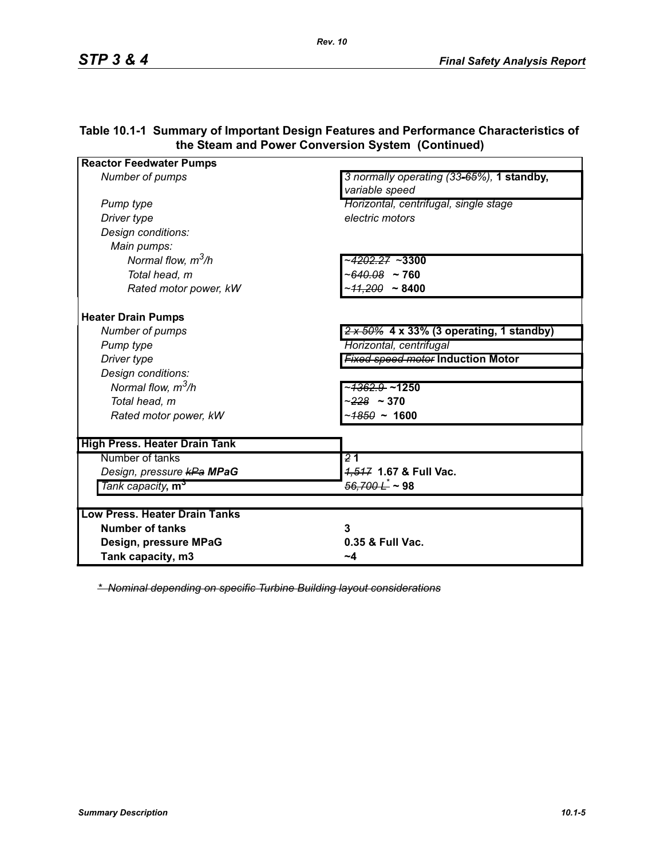| <b>Reactor Feedwater Pumps</b>       |                                                             |
|--------------------------------------|-------------------------------------------------------------|
| Number of pumps                      | 3 normally operating (33-65%), 1 standby,<br>variable speed |
| Pump type                            | Horizontal, centrifugal, single stage                       |
| Driver type                          | electric motors                                             |
| Design conditions:                   |                                                             |
| Main pumps:                          |                                                             |
| Normal flow, $m^3/h$                 | ~ <del>4202.27</del> ~3300                                  |
| Total head, m                        | ~640.08 ~ 760                                               |
| Rated motor power, kW                | ~ <del>11.200</del> ~ 8400                                  |
| <b>Heater Drain Pumps</b>            |                                                             |
| Number of pumps                      | $2 \times 50\%$ 4 x 33% (3 operating, 1 standby)            |
| Pump type                            | Horizontal, centrifugal                                     |
| Driver type                          | <b>Fixed speed motor Induction Motor</b>                    |
| Design conditions:                   |                                                             |
| Normal flow, $m^3/h$                 | ~ <del>1362.9 </del> ~1250                                  |
| Total head, m                        | $-228 - 370$                                                |
| Rated motor power, kW                | ~ <del>1850</del> ~ 1600                                    |
| <b>High Press. Heater Drain Tank</b> |                                                             |
| Number of tanks                      | $\overline{21}$                                             |
| Design, pressure kPa MPaG            | 4,547 1.67 & Full Vac.                                      |
| Tank capacity, m <sup>3</sup>        | <del>56,700 L</del> ~ 98                                    |
|                                      |                                                             |
| <b>Low Press. Heater Drain Tanks</b> |                                                             |
| <b>Number of tanks</b>               | 3                                                           |
| Design, pressure MPaG                | 0.35 & Full Vac.                                            |
| Tank capacity, m3                    | ~4                                                          |

### **Table 10.1-1 Summary of Important Design Features and Performance Characteristics of the Steam and Power Conversion System (Continued)**

*\* Nominal depending on specific Turbine Building layout considerations*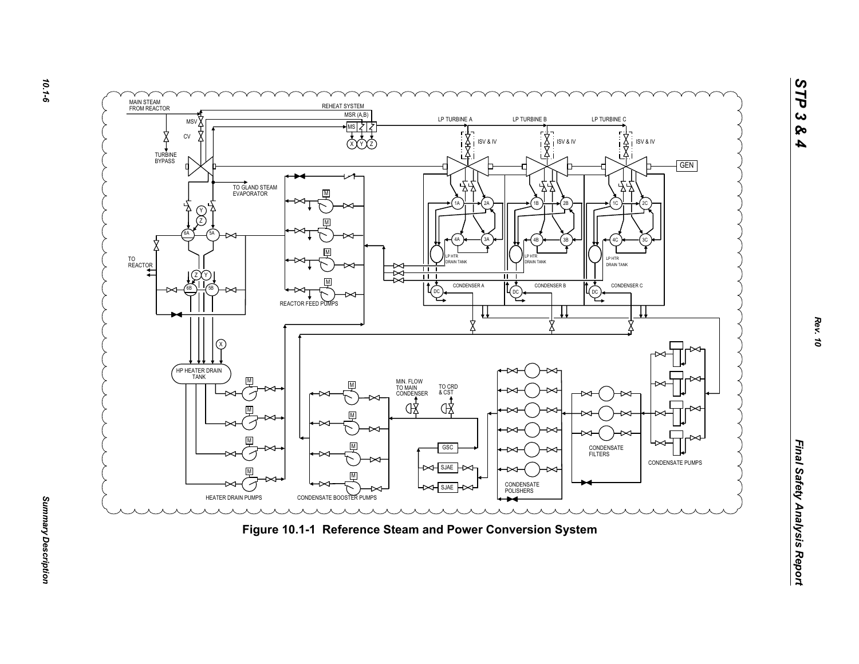

*Summary Description* 

Summary Description